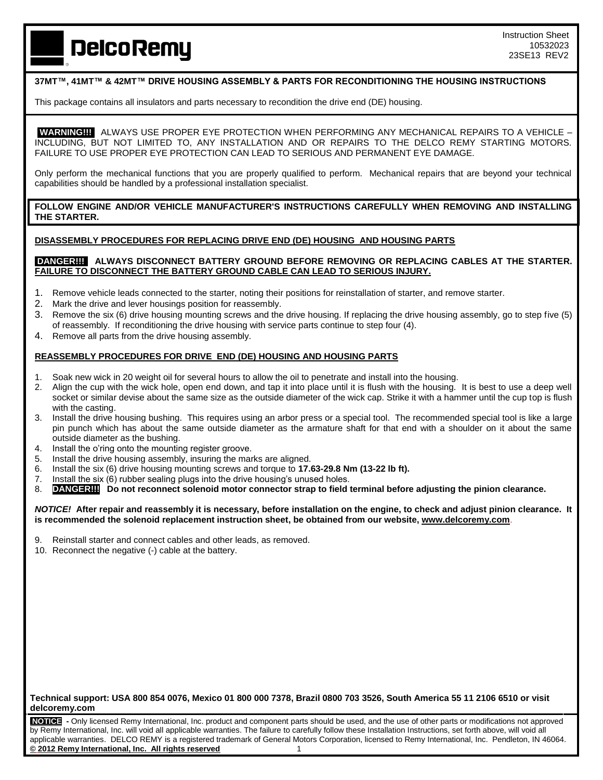# **DelcoRemy**

## **37MT™, 41MT™ & 42MT™ DRIVE HOUSING ASSEMBLY & PARTS FOR RECONDITIONING THE HOUSING INSTRUCTIONS**

This package contains all insulators and parts necessary to recondition the drive end (DE) housing.

**WARNING!!!** ALWAYS USE PROPER EYE PROTECTION WHEN PERFORMING ANY MECHANICAL REPAIRS TO A VEHICLE – INCLUDING, BUT NOT LIMITED TO, ANY INSTALLATION AND OR REPAIRS TO THE DELCO REMY STARTING MOTORS. FAILURE TO USE PROPER EYE PROTECTION CAN LEAD TO SERIOUS AND PERMANENT EYE DAMAGE.

Only perform the mechanical functions that you are properly qualified to perform. Mechanical repairs that are beyond your technical capabilities should be handled by a professional installation specialist.

**FOLLOW ENGINE AND/OR VEHICLE MANUFACTURER'S INSTRUCTIONS CAREFULLY WHEN REMOVING AND INSTALLING THE STARTER.**

## **DISASSEMBLY PROCEDURES FOR REPLACING DRIVE END (DE) HOUSING AND HOUSING PARTS**

#### **DANGER!!! ALWAYS DISCONNECT BATTERY GROUND BEFORE REMOVING OR REPLACING CABLES AT THE STARTER. FAILURE TO DISCONNECT THE BATTERY GROUND CABLE CAN LEAD TO SERIOUS INJURY.**

- 1. Remove vehicle leads connected to the starter, noting their positions for reinstallation of starter, and remove starter.
- 2. Mark the drive and lever housings position for reassembly.
- 3. Remove the six (6) drive housing mounting screws and the drive housing. If replacing the drive housing assembly, go to step five (5) of reassembly. If reconditioning the drive housing with service parts continue to step four (4).
- 4. Remove all parts from the drive housing assembly.

## **REASSEMBLY PROCEDURES FOR DRIVE END (DE) HOUSING AND HOUSING PARTS**

- 1. Soak new wick in 20 weight oil for several hours to allow the oil to penetrate and install into the housing.
- 2. Align the cup with the wick hole, open end down, and tap it into place until it is flush with the housing. It is best to use a deep well socket or similar devise about the same size as the outside diameter of the wick cap. Strike it with a hammer until the cup top is flush with the casting.
- 3. Install the drive housing bushing. This requires using an arbor press or a special tool. The recommended special tool is like a large pin punch which has about the same outside diameter as the armature shaft for that end with a shoulder on it about the same outside diameter as the bushing.
- 4. Install the o'ring onto the mounting register groove.
- 5. Install the drive housing assembly, insuring the marks are aligned.
- 6. Install the six (6) drive housing mounting screws and torque to **17.63-29.8 Nm (13-22 lb ft).**
- 7. Install the six (6) rubber sealing plugs into the drive housing's unused holes.
- 8. **DANGERIII** Do not reconnect solenoid motor connector strap to field terminal before adjusting the pinion clearance.

*NOTICE!* **After repair and reassembly it is necessary, before installation on the engine, to check and adjust pinion clearance. It is recommended the solenoid replacement instruction sheet, be obtained from our website, [www.delcoremy.com](http://www.delcoremy.com/)**.

- Reinstall starter and connect cables and other leads, as removed.
- 10. Reconnect the negative (-) cable at the battery.

**Technical support: USA 800 854 0076, Mexico 01 800 000 7378, Brazil 0800 703 3526, South America 55 11 2106 6510 or visit delcoremy.com**

**NOTICE -** Only licensed Remy International, Inc. product and component parts should be used, and the use of other parts or modifications not approved by Remy International, Inc. will void all applicable warranties. The failure to carefully follow these Installation Instructions, set forth above, will void all applicable warranties. DELCO REMY is a registered trademark of General Motors Corporation, licensed to Remy International, Inc. Pendleton, IN 46064. **© 2012 Remy International, Inc. All rights reserved** 1